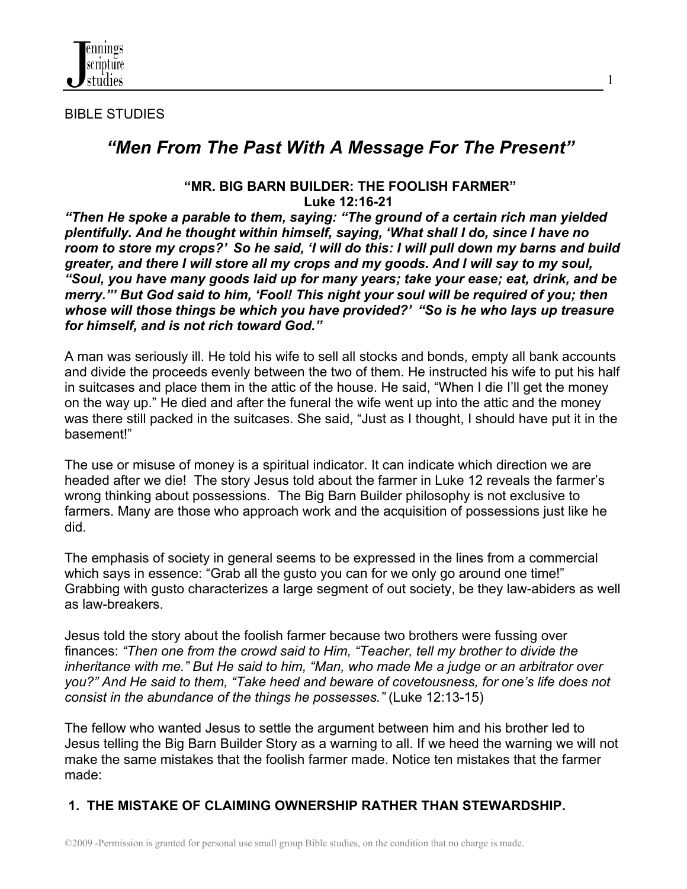

BIBLE STUDIES

# *"Men From The Past With A Message For The Present"*

1

#### **"MR. BIG BARN BUILDER: THE FOOLISH FARMER" Luke 12:16-21**

*"Then He spoke a parable to them, saying: "The ground of a certain rich man yielded plentifully. And he thought within himself, saying, 'What shall I do, since I have no room to store my crops?' So he said, 'I will do this: I will pull down my barns and build greater, and there I will store all my crops and my goods. And I will say to my soul, "Soul, you have many goods laid up for many years; take your ease; eat, drink, and be merry."' But God said to him, 'Fool! This night your soul will be required of you; then whose will those things be which you have provided?' "So is he who lays up treasure for himself, and is not rich toward God."*

A man was seriously ill. He told his wife to sell all stocks and bonds, empty all bank accounts and divide the proceeds evenly between the two of them. He instructed his wife to put his half in suitcases and place them in the attic of the house. He said, "When I die I'll get the money on the way up." He died and after the funeral the wife went up into the attic and the money was there still packed in the suitcases. She said, "Just as I thought, I should have put it in the basement!"

The use or misuse of money is a spiritual indicator. It can indicate which direction we are headed after we die! The story Jesus told about the farmer in Luke 12 reveals the farmer's wrong thinking about possessions. The Big Barn Builder philosophy is not exclusive to farmers. Many are those who approach work and the acquisition of possessions just like he did.

The emphasis of society in general seems to be expressed in the lines from a commercial which says in essence: "Grab all the gusto you can for we only go around one time!" Grabbing with gusto characterizes a large segment of out society, be they law-abiders as well as law-breakers.

Jesus told the story about the foolish farmer because two brothers were fussing over finances: *"Then one from the crowd said to Him, "Teacher, tell my brother to divide the inheritance with me." But He said to him, "Man, who made Me a judge or an arbitrator over you?" And He said to them, "Take heed and beware of covetousness, for one's life does not consist in the abundance of the things he possesses."* (Luke 12:13-15)

The fellow who wanted Jesus to settle the argument between him and his brother led to Jesus telling the Big Barn Builder Story as a warning to all. If we heed the warning we will not make the same mistakes that the foolish farmer made. Notice ten mistakes that the farmer made:

## **1. THE MISTAKE OF CLAIMING OWNERSHIP RATHER THAN STEWARDSHIP.**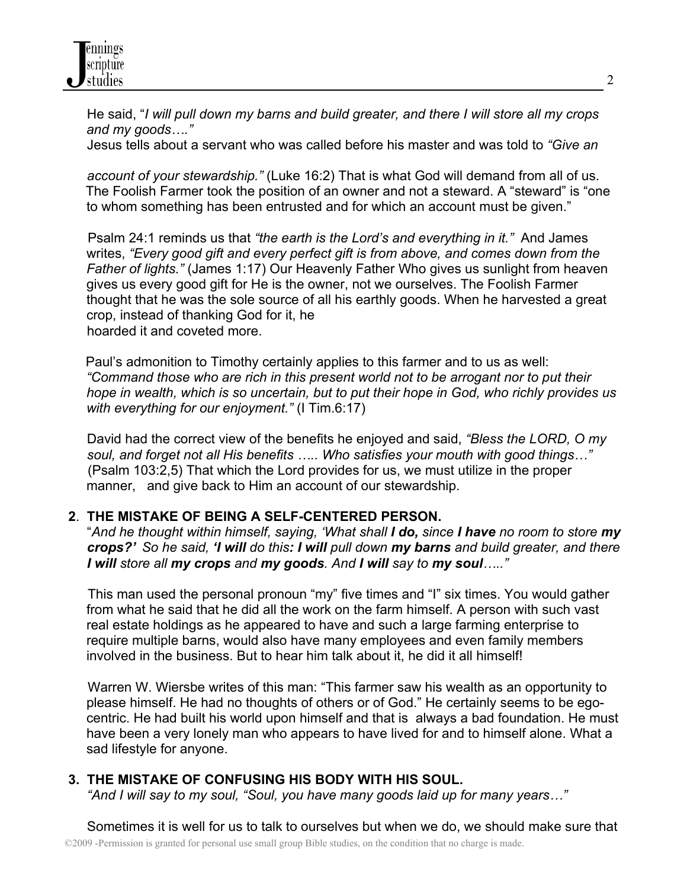He said, "*I will pull down my barns and build greater, and there I will store all my crops and my goods…."*

Jesus tells about a servant who was called before his master and was told to *"Give an*

 *account of your stewardship."* (Luke 16:2) That is what God will demand from all of us. The Foolish Farmer took the position of an owner and not a steward. A "steward" is "one to whom something has been entrusted and for which an account must be given."

 Psalm 24:1 reminds us that *"the earth is the Lord's and everything in it."* And James writes, *"Every good gift and every perfect gift is from above, and comes down from the Father of lights."* (James 1:17) Our Heavenly Father Who gives us sunlight from heaven gives us every good gift for He is the owner, not we ourselves. The Foolish Farmer thought that he was the sole source of all his earthly goods. When he harvested a great crop, instead of thanking God for it, he hoarded it and coveted more.

Paul's admonition to Timothy certainly applies to this farmer and to us as well: *"Command those who are rich in this present world not to be arrogant nor to put their hope in wealth, which is so uncertain, but to put their hope in God, who richly provides us with everything for our enjoyment."* (I Tim.6:17)

 David had the correct view of the benefits he enjoyed and said, *"Bless the LORD, O my soul, and forget not all His benefits ….. Who satisfies your mouth with good things…"* (Psalm 103:2,5) That which the Lord provides for us, we must utilize in the proper manner, and give back to Him an account of our stewardship.

#### **2**. **THE MISTAKE OF BEING A SELF-CENTERED PERSON.**

 "*And he thought within himself, saying, 'What shall I do, since I have no room to store my crops?' So he said, 'I will do this: I will pull down my barns and build greater, and there I will store all my crops and my goods. And I will say to my soul….."*

 This man used the personal pronoun "my" five times and "I" six times. You would gather from what he said that he did all the work on the farm himself. A person with such vast real estate holdings as he appeared to have and such a large farming enterprise to require multiple barns, would also have many employees and even family members involved in the business. But to hear him talk about it, he did it all himself!

 Warren W. Wiersbe writes of this man: "This farmer saw his wealth as an opportunity to please himself. He had no thoughts of others or of God." He certainly seems to be egocentric. He had built his world upon himself and that is always a bad foundation. He must have been a very lonely man who appears to have lived for and to himself alone. What a sad lifestyle for anyone.

#### **3. THE MISTAKE OF CONFUSING HIS BODY WITH HIS SOUL.**

 *"And I will say to my soul, "Soul, you have many goods laid up for many years…"*

©2009 -Permission is granted for personal use small group Bible studies, on the condition that no charge is made. Sometimes it is well for us to talk to ourselves but when we do, we should make sure that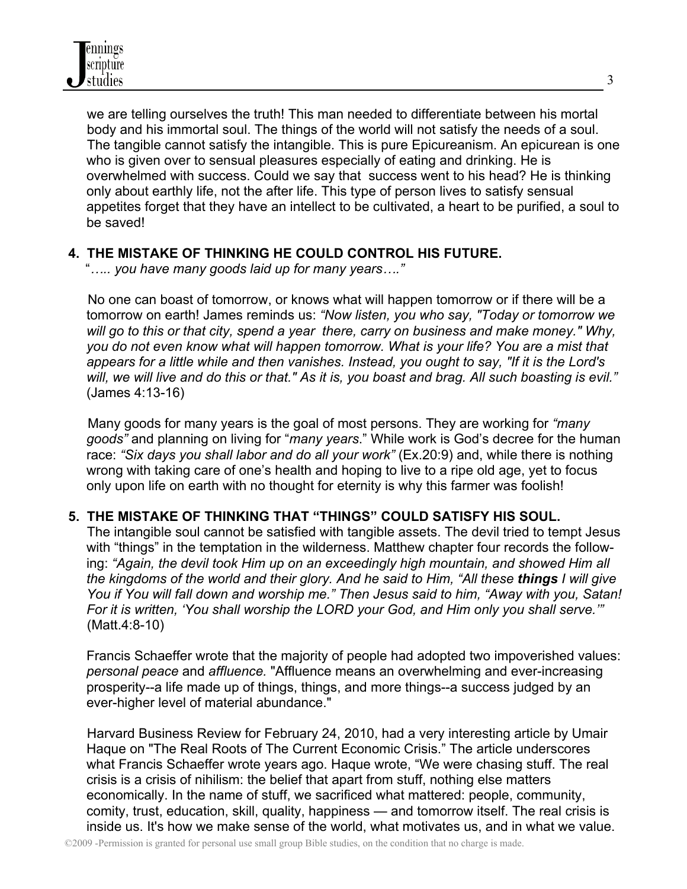we are telling ourselves the truth! This man needed to differentiate between his mortal body and his immortal soul. The things of the world will not satisfy the needs of a soul. The tangible cannot satisfy the intangible. This is pure Epicureanism. An epicurean is one who is given over to sensual pleasures especially of eating and drinking. He is overwhelmed with success. Could we say that success went to his head? He is thinking only about earthly life, not the after life. This type of person lives to satisfy sensual appetites forget that they have an intellect to be cultivated, a heart to be purified, a soul to be saved!

## **4. THE MISTAKE OF THINKING HE COULD CONTROL HIS FUTURE.**

"*….. you have many goods laid up for many years…."*

No one can boast of tomorrow, or knows what will happen tomorrow or if there will be a tomorrow on earth! James reminds us: *"Now listen, you who say, "Today or tomorrow we will go to this or that city, spend a year there, carry on business and make money." Why, you do not even know what will happen tomorrow. What is your life? You are a mist that appears for a little while and then vanishes. Instead, you ought to say, "If it is the Lord's will, we will live and do this or that." As it is, you boast and brag. All such boasting is evil."*  (James 4:13-16)

 Many goods for many years is the goal of most persons. They are working for *"many goods"* and planning on living for "*many years*." While work is God's decree for the human race: *"Six days you shall labor and do all your work"* (Ex.20:9) and, while there is nothing wrong with taking care of one's health and hoping to live to a ripe old age, yet to focus only upon life on earth with no thought for eternity is why this farmer was foolish!

## **5. THE MISTAKE OF THINKING THAT "THINGS" COULD SATISFY HIS SOUL.**

 The intangible soul cannot be satisfied with tangible assets. The devil tried to tempt Jesus with "things" in the temptation in the wilderness. Matthew chapter four records the following: *"Again, the devil took Him up on an exceedingly high mountain, and showed Him all the kingdoms of the world and their glory. And he said to Him, "All these things I will give You if You will fall down and worship me." Then Jesus said to him, "Away with you, Satan! For it is written, 'You shall worship the LORD your God, and Him only you shall serve.'"* (Matt.4:8-10)

Francis Schaeffer wrote that the majority of people had adopted two impoverished values: *personal peace* and *affluence.* "Affluence means an overwhelming and ever-increasing prosperity--a life made up of things, things, and more things--a success judged by an ever-higher level of material abundance."

 Harvard Business Review for February 24, 2010, had a very interesting article by Umair Haque on "The Real Roots of The Current Economic Crisis." The article underscores what Francis Schaeffer wrote years ago. Haque wrote, "We were chasing stuff. The real crisis is a crisis of nihilism: the belief that apart from stuff, nothing else matters economically. In the name of stuff, we sacrificed what mattered: people, community, comity, trust, education, skill, quality, happiness — and tomorrow itself. The real crisis is inside us. It's how we make sense of the world, what motivates us, and in what we value.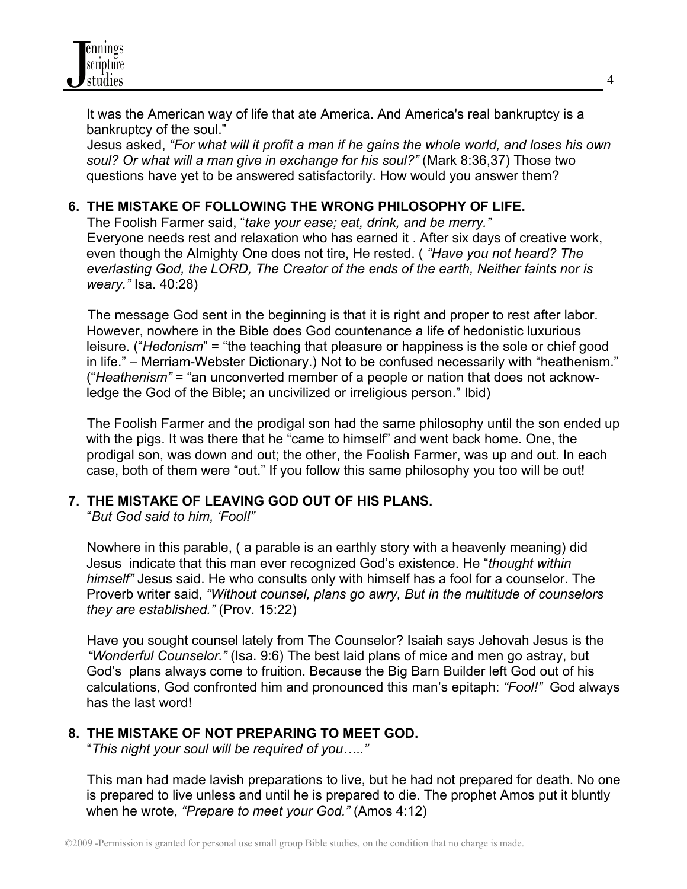

It was the American way of life that ate America. And America's real bankruptcy is a bankruptcy of the soul."

 Jesus asked, *"For what will it profit a man if he gains the whole world, and loses his own soul? Or what will a man give in exchange for his soul?"* (Mark 8:36,37) Those two questions have yet to be answered satisfactorily. How would you answer them?

#### **6. THE MISTAKE OF FOLLOWING THE WRONG PHILOSOPHY OF LIFE.**

The Foolish Farmer said, "*take your ease; eat, drink, and be merry."* Everyone needs rest and relaxation who has earned it . After six days of creative work, even though the Almighty One does not tire, He rested. ( *"Have you not heard? The everlasting God, the LORD, The Creator of the ends of the earth, Neither faints nor is weary."* Isa. 40:28)

 The message God sent in the beginning is that it is right and proper to rest after labor. However, nowhere in the Bible does God countenance a life of hedonistic luxurious leisure. ("*Hedonism*" = "the teaching that pleasure or happiness is the sole or chief good in life." – Merriam-Webster Dictionary.) Not to be confused necessarily with "heathenism." ("*Heathenism"* = "an unconverted member of a people or nation that does not acknowledge the God of the Bible; an uncivilized or irreligious person." Ibid)

 The Foolish Farmer and the prodigal son had the same philosophy until the son ended up with the pigs. It was there that he "came to himself" and went back home. One, the prodigal son, was down and out; the other, the Foolish Farmer, was up and out. In each case, both of them were "out." If you follow this same philosophy you too will be out!

#### **7. THE MISTAKE OF LEAVING GOD OUT OF HIS PLANS.**

"*But God said to him, 'Fool!"*

Nowhere in this parable, ( a parable is an earthly story with a heavenly meaning) did Jesus indicate that this man ever recognized God's existence. He "*thought within himself"* Jesus said. He who consults only with himself has a fool for a counselor. The Proverb writer said, *"Without counsel, plans go awry, But in the multitude of counselors they are established."* (Prov. 15:22)

 Have you sought counsel lately from The Counselor? Isaiah says Jehovah Jesus is the *"Wonderful Counselor."* (Isa. 9:6) The best laid plans of mice and men go astray, but God's plans always come to fruition. Because the Big Barn Builder left God out of his calculations, God confronted him and pronounced this man's epitaph: *"Fool!"* God always has the last word!

## **8. THE MISTAKE OF NOT PREPARING TO MEET GOD.**

"*This night your soul will be required of you….."*

This man had made lavish preparations to live, but he had not prepared for death. No one is prepared to live unless and until he is prepared to die. The prophet Amos put it bluntly when he wrote, *"Prepare to meet your God."* (Amos 4:12)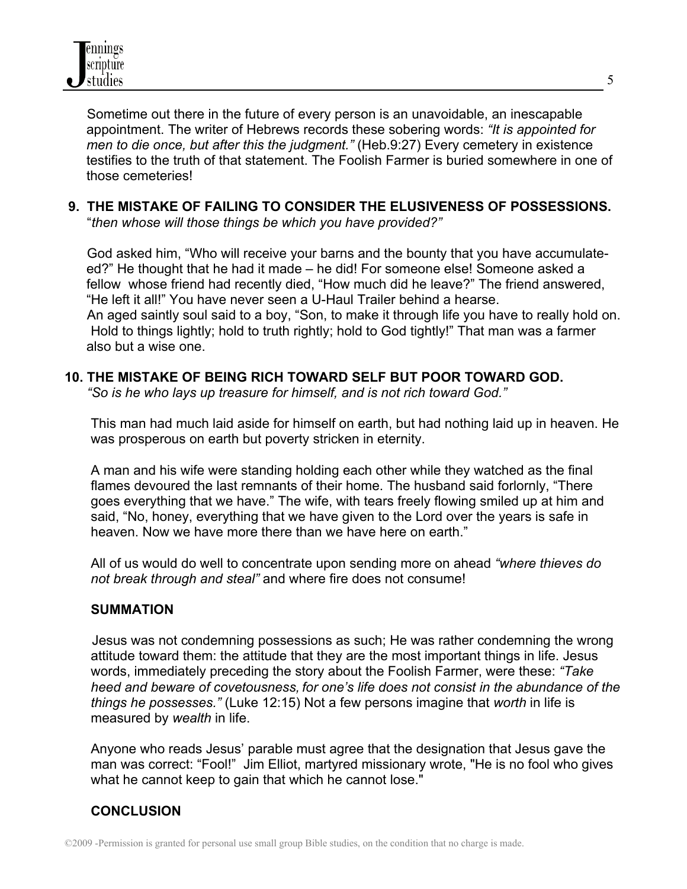Sometime out there in the future of every person is an unavoidable, an inescapable appointment. The writer of Hebrews records these sobering words: *"It is appointed for men to die once, but after this the judgment."* (Heb.9:27) Every cemetery in existence testifies to the truth of that statement. The Foolish Farmer is buried somewhere in one of those cemeteries!

#### **9. THE MISTAKE OF FAILING TO CONSIDER THE ELUSIVENESS OF POSSESSIONS.**

"*then whose will those things be which you have provided?"*

 God asked him, "Who will receive your barns and the bounty that you have accumulateed?" He thought that he had it made – he did! For someone else! Someone asked a fellow whose friend had recently died, "How much did he leave?" The friend answered, "He left it all!" You have never seen a U-Haul Trailer behind a hearse. An aged saintly soul said to a boy, "Son, to make it through life you have to really hold on. Hold to things lightly; hold to truth rightly; hold to God tightly!" That man was a farmer also but a wise one.

#### **10. THE MISTAKE OF BEING RICH TOWARD SELF BUT POOR TOWARD GOD.**

 *"So is he who lays up treasure for himself, and is not rich toward God."*

This man had much laid aside for himself on earth, but had nothing laid up in heaven. He was prosperous on earth but poverty stricken in eternity.

 A man and his wife were standing holding each other while they watched as the final flames devoured the last remnants of their home. The husband said forlornly, "There goes everything that we have." The wife, with tears freely flowing smiled up at him and said, "No, honey, everything that we have given to the Lord over the years is safe in heaven. Now we have more there than we have here on earth."

 All of us would do well to concentrate upon sending more on ahead *"where thieves do not break through and steal"* and where fire does not consume!

#### **SUMMATION**

 Jesus was not condemning possessions as such; He was rather condemning the wrong attitude toward them: the attitude that they are the most important things in life. Jesus words, immediately preceding the story about the Foolish Farmer, were these: *"Take heed and beware of covetousness, for one's life does not consist in the abundance of the things he possesses."* (Luke 12:15) Not a few persons imagine that *worth* in life is measured by *wealth* in life.

 Anyone who reads Jesus' parable must agree that the designation that Jesus gave the man was correct: "Fool!" Jim Elliot, martyred missionary wrote, "He is no fool who gives what he cannot keep to gain that which he cannot lose."

## **CONCLUSION**